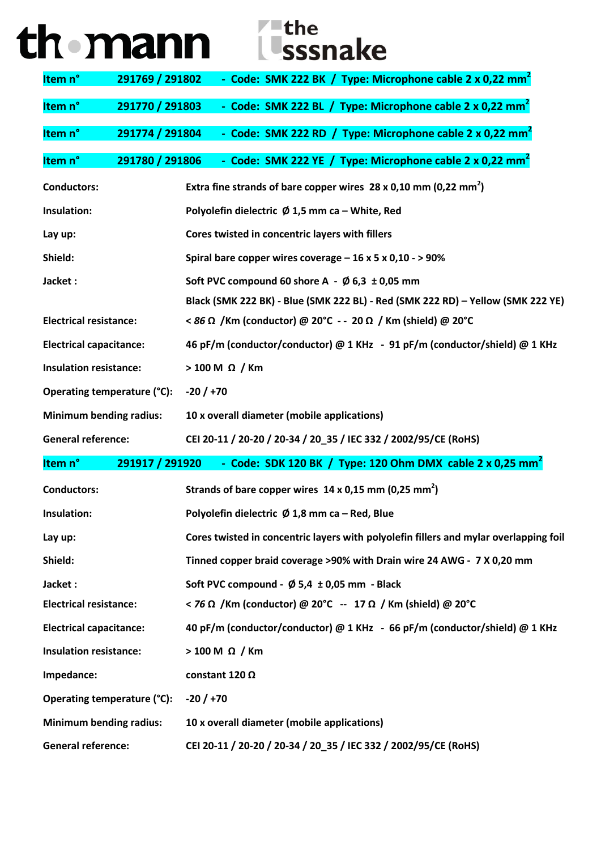| th mann | $\blacktriangleright$ – the<br><i><b>L</b>sssnake</i> |
|---------|-------------------------------------------------------|
|---------|-------------------------------------------------------|

| Item <sub>n</sub> °            | 291769 / 291802 | - Code: SMK 222 BK / Type: Microphone cable 2 x 0,22 mm <sup>2</sup>                  |
|--------------------------------|-----------------|---------------------------------------------------------------------------------------|
| Item <sub>n</sub> °            | 291770 / 291803 | - Code: SMK 222 BL / Type: Microphone cable 2 x 0,22 mm <sup>2</sup>                  |
| Item n°                        | 291774 / 291804 | - Code: SMK 222 RD / Type: Microphone cable 2 x 0,22 mm <sup>2</sup>                  |
| Item n°                        | 291780 / 291806 | - Code: SMK 222 YE / Type: Microphone cable 2 x 0,22 mm <sup>2</sup>                  |
| <b>Conductors:</b>             |                 | Extra fine strands of bare copper wires $28 \times 0,10$ mm (0,22 mm <sup>2</sup> )   |
| Insulation:                    |                 | Polyolefin dielectric Ø 1,5 mm ca - White, Red                                        |
| Lay up:                        |                 | Cores twisted in concentric layers with fillers                                       |
| Shield:                        |                 | Spiral bare copper wires coverage $-16 \times 5 \times 0,10 - 90\%$                   |
| Jacket:                        |                 | Soft PVC compound 60 shore A - $\emptyset$ 6,3 ± 0,05 mm                              |
|                                |                 | Black (SMK 222 BK) - Blue (SMK 222 BL) - Red (SMK 222 RD) - Yellow (SMK 222 YE)       |
| <b>Electrical resistance:</b>  |                 | < 86 Ω /Km (conductor) @ 20°C - - 20 Ω / Km (shield) @ 20°C                           |
| <b>Electrical capacitance:</b> |                 | 46 pF/m (conductor/conductor) @ 1 KHz - 91 pF/m (conductor/shield) @ 1 KHz            |
| <b>Insulation resistance:</b>  |                 | $>$ 100 M $\Omega$ / Km                                                               |
| Operating temperature (°C):    |                 | $-20/ +70$                                                                            |
| <b>Minimum bending radius:</b> |                 | 10 x overall diameter (mobile applications)                                           |
| <b>General reference:</b>      |                 | CEI 20-11 / 20-20 / 20-34 / 20_35 / IEC 332 / 2002/95/CE (RoHS)                       |
| Item <sub>n</sub> °            | 291917 / 291920 | - Code: SDK 120 BK / Type: 120 Ohm DMX cable 2 x 0,25 mm <sup>2</sup>                 |
| <b>Conductors:</b>             |                 | Strands of bare copper wires $14 \times 0.15$ mm (0.25 mm <sup>2</sup> )              |
| <b>Insulation:</b>             |                 | Polyolefin dielectric $\emptyset$ 1,8 mm ca – Red, Blue                               |
| Lay up:                        |                 | Cores twisted in concentric layers with polyolefin fillers and mylar overlapping foil |
| Shield:                        |                 | Tinned copper braid coverage >90% with Drain wire 24 AWG - 7 X 0,20 mm                |
| Jacket:                        |                 | Soft PVC compound - $\emptyset$ 5,4 ± 0,05 mm - Black                                 |
| <b>Electrical resistance:</b>  |                 | <76 Ω /Km (conductor) @ 20°C -- 17 Ω / Km (shield) @ 20°C                             |
| <b>Electrical capacitance:</b> |                 | 40 pF/m (conductor/conductor) @ 1 KHz - 66 pF/m (conductor/shield) @ 1 KHz            |
| <b>Insulation resistance:</b>  |                 | $>100$ M $\Omega$ / Km                                                                |
| Impedance:                     |                 | constant 120 $\Omega$                                                                 |
| Operating temperature (°C):    |                 | $-20/ +70$                                                                            |
| <b>Minimum bending radius:</b> |                 | 10 x overall diameter (mobile applications)                                           |
| <b>General reference:</b>      |                 | CEI 20-11 / 20-20 / 20-34 / 20_35 / IEC 332 / 2002/95/CE (RoHS)                       |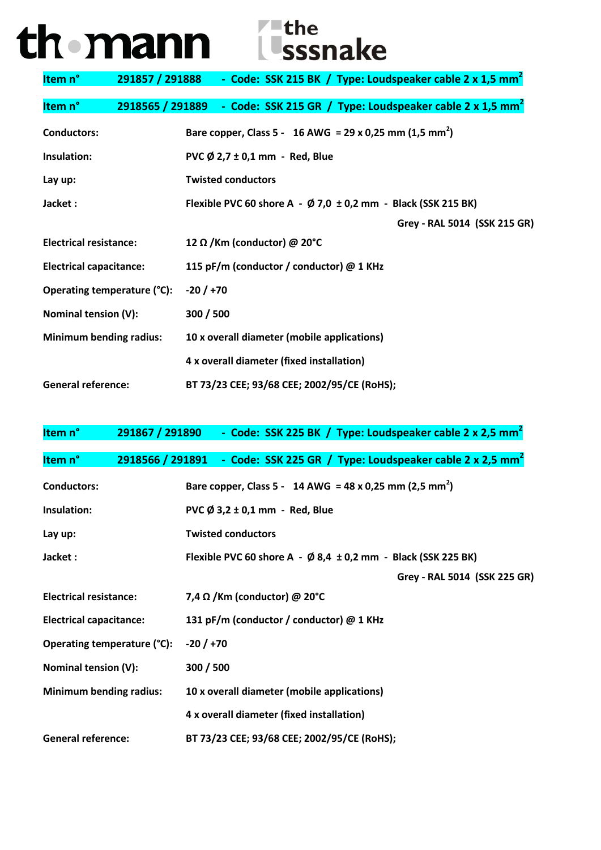## th mann isssnake

| Item n°                        | 291857 / 291888 - Code: SSK 215 BK / Type: Loudspeaker cable 2 x 1,5 mm <sup>2</sup>  |
|--------------------------------|---------------------------------------------------------------------------------------|
| Item n°                        | 2918565 / 291889 - Code: SSK 215 GR / Type: Loudspeaker cable 2 x 1,5 mm <sup>2</sup> |
| <b>Conductors:</b>             | Bare copper, Class 5 - 16 AWG = 29 x 0,25 mm (1,5 mm <sup>2</sup> )                   |
| Insulation:                    | PVC $\emptyset$ 2,7 ± 0,1 mm - Red, Blue                                              |
| Lay up:                        | <b>Twisted conductors</b>                                                             |
| Jacket :                       | Flexible PVC 60 shore A - $\emptyset$ 7,0 ± 0,2 mm - Black (SSK 215 BK)               |
|                                | Grey - RAL 5014 (SSK 215 GR)                                                          |
| <b>Electrical resistance:</b>  | 12 Ω / Km (conductor) @ 20°C                                                          |
| <b>Electrical capacitance:</b> | 115 pF/m (conductor / conductor) @ 1 KHz                                              |
| Operating temperature (°C):    | $-20/ +70$                                                                            |
| Nominal tension (V):           | 300 / 500                                                                             |
| <b>Minimum bending radius:</b> | 10 x overall diameter (mobile applications)                                           |
|                                | 4 x overall diameter (fixed installation)                                             |
| <b>General reference:</b>      | BT 73/23 CEE; 93/68 CEE; 2002/95/CE (RoHS);                                           |

| Item n°                        | 291867 / 291890 - Code: SSK 225 BK / Type: Loudspeaker cable 2 x 2,5 mm <sup>2</sup>  |
|--------------------------------|---------------------------------------------------------------------------------------|
| Item n°                        | 2918566 / 291891 - Code: SSK 225 GR / Type: Loudspeaker cable 2 x 2,5 mm <sup>2</sup> |
| <b>Conductors:</b>             | Bare copper, Class 5 - 14 AWG = 48 x 0,25 mm (2,5 mm <sup>2</sup> )                   |
| Insulation:                    | PVC Ø 3,2 ± 0,1 mm - Red, Blue                                                        |
| Lay up:                        | <b>Twisted conductors</b>                                                             |
| Jacket:                        | Flexible PVC 60 shore A - $\emptyset$ 8,4 ± 0,2 mm - Black (SSK 225 BK)               |
|                                | Grey - RAL 5014 (SSK 225 GR)                                                          |
| <b>Electrical resistance:</b>  | 7,4 $\Omega$ /Km (conductor) @ 20°C                                                   |
| <b>Electrical capacitance:</b> | 131 pF/m (conductor / conductor) @ 1 KHz                                              |
| Operating temperature (°C):    | $-20/ +70$                                                                            |
| Nominal tension (V):           | 300 / 500                                                                             |
| <b>Minimum bending radius:</b> | 10 x overall diameter (mobile applications)                                           |
|                                | 4 x overall diameter (fixed installation)                                             |
| <b>General reference:</b>      | BT 73/23 CEE; 93/68 CEE; 2002/95/CE (RoHS);                                           |